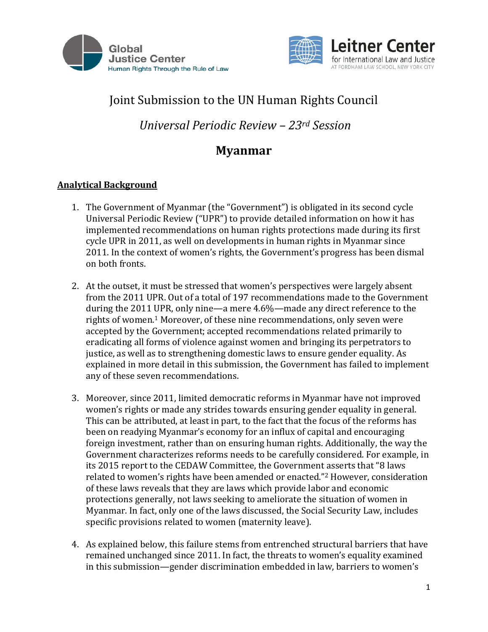



# Joint Submission to the UN Human Rights Council

*Universal Periodic Review – 23rd Session*

## **Myanmar**

## **Analytical Background**

- 1. The Government of Myanmar (the "Government") is obligated in its second cycle Universal Periodic Review ("UPR") to provide detailed information on how it has implemented recommendations on human rights protections made during its first cycle UPR in 2011, as well on developments in human rights in Myanmar since 2011. In the context of women's rights, the Government's progress has been dismal on both fronts.
- 2. At the outset, it must be stressed that women's perspectives were largely absent from the 2011 UPR. Out of a total of 197 recommendations made to the Government during the 2011 UPR, only nine—a mere 4.6%—made any direct reference to the rights of women.<sup>1</sup> Moreover, of these nine recommendations, only seven were accepted by the Government; accepted recommendations related primarily to eradicating all forms of violence against women and bringing its perpetrators to justice, as well as to strengthening domestic laws to ensure gender equality. As explained in more detail in this submission, the Government has failed to implement any of these seven recommendations.
- 3. Moreover, since 2011, limited democratic reforms in Myanmar have not improved women's rights or made any strides towards ensuring gender equality in general. This can be attributed, at least in part, to the fact that the focus of the reforms has been on readying Myanmar's economy for an influx of capital and encouraging foreign investment, rather than on ensuring human rights. Additionally, the way the Government characterizes reforms needs to be carefully considered. For example, in its 2015 report to the CEDAW Committee, the Government asserts that "8 laws related to women's rights have been amended or enacted."<sup>2</sup> However, consideration of these laws reveals that they are laws which provide labor and economic protections generally, not laws seeking to ameliorate the situation of women in Myanmar. In fact, only one of the laws discussed, the Social Security Law, includes specific provisions related to women (maternity leave).
- 4. As explained below, this failure stems from entrenched structural barriers that have remained unchanged since 2011. In fact, the threats to women's equality examined in this submission—gender discrimination embedded in law, barriers to women's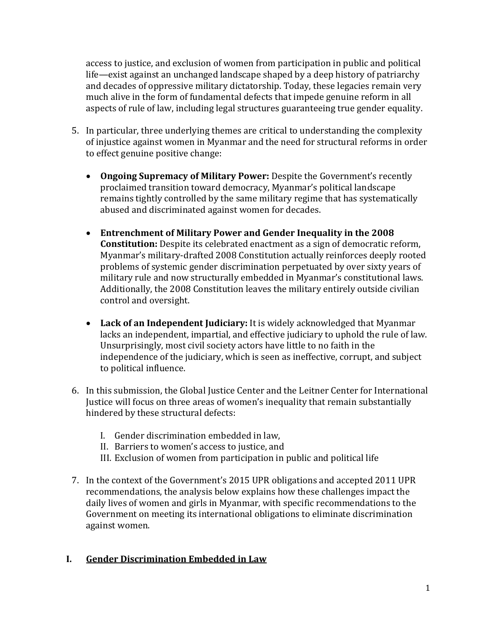access to justice, and exclusion of women from participation in public and political life—exist against an unchanged landscape shaped by a deep history of patriarchy and decades of oppressive military dictatorship. Today, these legacies remain very much alive in the form of fundamental defects that impede genuine reform in all aspects of rule of law, including legal structures guaranteeing true gender equality.

- 5. In particular, three underlying themes are critical to understanding the complexity of injustice against women in Myanmar and the need for structural reforms in order to effect genuine positive change:
	- **Ongoing Supremacy of Military Power:** Despite the Government's recently proclaimed transition toward democracy, Myanmar's political landscape remains tightly controlled by the same military regime that has systematically abused and discriminated against women for decades.
	- **Entrenchment of Military Power and Gender Inequality in the 2008 Constitution:** Despite its celebrated enactment as a sign of democratic reform, Myanmar's military-drafted 2008 Constitution actually reinforces deeply rooted problems of systemic gender discrimination perpetuated by over sixty years of military rule and now structurally embedded in Myanmar's constitutional laws. Additionally, the 2008 Constitution leaves the military entirely outside civilian control and oversight.
	- **Lack of an Independent Judiciary:** It is widely acknowledged that Myanmar lacks an independent, impartial, and effective judiciary to uphold the rule of law. Unsurprisingly, most civil society actors have little to no faith in the independence of the judiciary, which is seen as ineffective, corrupt, and subject to political influence.
- 6. In this submission, the Global Justice Center and the Leitner Center for International Justice will focus on three areas of women's inequality that remain substantially hindered by these structural defects:
	- I. Gender discrimination embedded in law,
	- II. Barriers to women's access to justice, and
	- III. Exclusion of women from participation in public and political life
- 7. In the context of the Government's 2015 UPR obligations and accepted 2011 UPR recommendations, the analysis below explains how these challenges impact the daily lives of women and girls in Myanmar, with specific recommendations to the Government on meeting its international obligations to eliminate discrimination against women.

## **I. Gender Discrimination Embedded in Law**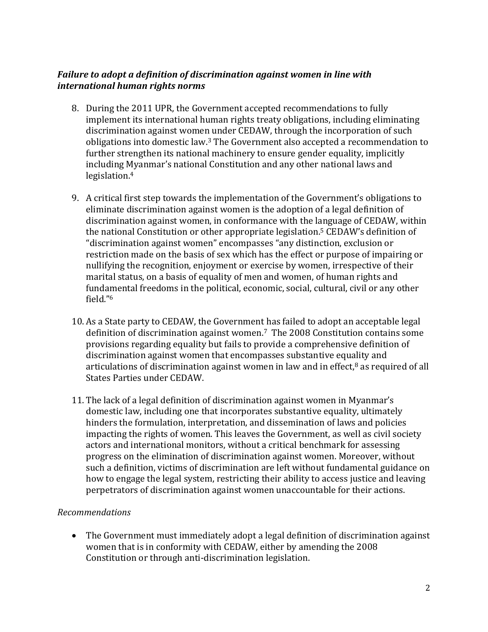## *Failure to adopt a definition of discrimination against women in line with international human rights norms*

- 8. During the 2011 UPR, the Government accepted recommendations to fully implement its international human rights treaty obligations, including eliminating discrimination against women under CEDAW, through the incorporation of such obligations into domestic law. <sup>3</sup> The Government also accepted a recommendation to further strengthen its national machinery to ensure gender equality, implicitly including Myanmar's national Constitution and any other national laws and legislation.<sup>4</sup>
- 9. A critical first step towards the implementation of the Government's obligations to eliminate discrimination against women is the adoption of a legal definition of discrimination against women, in conformance with the language of CEDAW, within the national Constitution or other appropriate legislation.<sup>5</sup> CEDAW's definition of "discrimination against women" encompasses "any distinction, exclusion or restriction made on the basis of sex which has the effect or purpose of impairing or nullifying the recognition, enjoyment or exercise by women, irrespective of their marital status, on a basis of equality of men and women, of human rights and fundamental freedoms in the political, economic, social, cultural, civil or any other field."<sup>6</sup>
- 10. As a State party to CEDAW, the Government has failed to adopt an acceptable legal definition of discrimination against women.<sup>7</sup> The 2008 Constitution contains some provisions regarding equality but fails to provide a comprehensive definition of discrimination against women that encompasses substantive equality and articulations of discrimination against women in law and in effect, $8$  as required of all States Parties under CEDAW.
- 11. The lack of a legal definition of discrimination against women in Myanmar's domestic law, including one that incorporates substantive equality, ultimately hinders the formulation, interpretation, and dissemination of laws and policies impacting the rights of women. This leaves the Government, as well as civil society actors and international monitors, without a critical benchmark for assessing progress on the elimination of discrimination against women. Moreover, without such a definition, victims of discrimination are left without fundamental guidance on how to engage the legal system, restricting their ability to access justice and leaving perpetrators of discrimination against women unaccountable for their actions.

## *Recommendations*

 The Government must immediately adopt a legal definition of discrimination against women that is in conformity with CEDAW, either by amending the 2008 Constitution or through anti-discrimination legislation.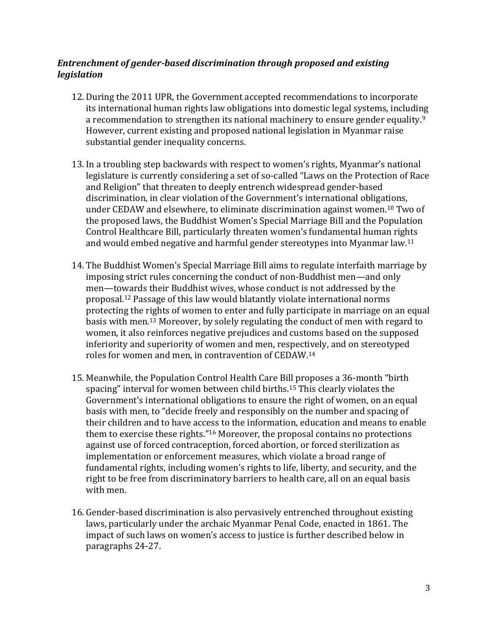#### *Entrenchment of gender-based discrimination through proposed and existing legislation*

- 12. During the 2011 UPR, the Government accepted recommendations to incorporate its international human rights law obligations into domestic legal systems, including a recommendation to strengthen its national machinery to ensure gender equality.<sup>9</sup> However, current existing and proposed national legislation in Myanmar raise substantial gender inequality concerns.
- 13. In a troubling step backwards with respect to women's rights, Myanmar's national legislature is currently considering a set of so-called "Laws on the Protection of Race and Religion" that threaten to deeply entrench widespread gender-based discrimination, in clear violation of the Government's international obligations, under CEDAW and elsewhere, to eliminate discrimination against women.<sup>10</sup> Two of the proposed laws, the Buddhist Women's Special Marriage Bill and the Population Control Healthcare Bill, particularly threaten women's fundamental human rights and would embed negative and harmful gender stereotypes into Myanmar law.<sup>11</sup>
- 14. The Buddhist Women's Special Marriage Bill aims to regulate interfaith marriage by imposing strict rules concerning the conduct of non-Buddhist men—and only men—towards their Buddhist wives, whose conduct is not addressed by the proposal.<sup>12</sup> Passage of this law would blatantly violate international norms protecting the rights of women to enter and fully participate in marriage on an equal basis with men.<sup>13</sup> Moreover, by solely regulating the conduct of men with regard to women, it also reinforces negative prejudices and customs based on the supposed inferiority and superiority of women and men, respectively, and on stereotyped roles for women and men, in contravention of CEDAW.<sup>14</sup>
- 15. Meanwhile, the Population Control Health Care Bill proposes a 36-month "birth spacing" interval for women between child births.<sup>15</sup> This clearly violates the Government's international obligations to ensure the right of women, on an equal basis with men, to "decide freely and responsibly on the number and spacing of their children and to have access to the information, education and means to enable them to exercise these rights."<sup>16</sup> Moreover, the proposal contains no protections against use of forced contraception, forced abortion, or forced sterilization as implementation or enforcement measures, which violate a broad range of fundamental rights, including women's rights to life, liberty, and security, and the right to be free from discriminatory barriers to health care, all on an equal basis with men.
- 16. Gender-based discrimination is also pervasively entrenched throughout existing laws, particularly under the archaic Myanmar Penal Code, enacted in 1861. The impact of such laws on women's access to justice is further described below in paragraphs 24-27.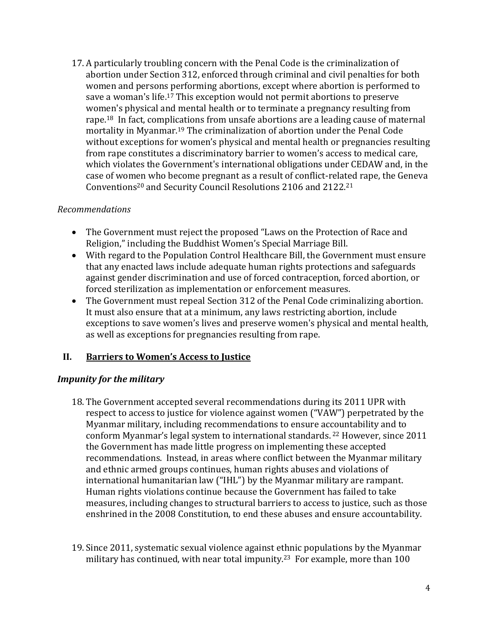17. A particularly troubling concern with the Penal Code is the criminalization of abortion under Section 312, enforced through criminal and civil penalties for both women and persons performing abortions, except where abortion is performed to save a woman's life.<sup>17</sup> This exception would not permit abortions to preserve women's physical and mental health or to terminate a pregnancy resulting from rape.18 In fact, complications from unsafe abortions are a leading cause of maternal mortality in Myanmar.<sup>19</sup> The criminalization of abortion under the Penal Code without exceptions for women's physical and mental health or pregnancies resulting from rape constitutes a discriminatory barrier to women's access to medical care, which violates the Government's international obligations under CEDAW and, in the case of women who become pregnant as a result of conflict-related rape, the Geneva Conventions<sup>20</sup> and Security Council Resolutions 2106 and 2122.<sup>21</sup>

#### *Recommendations*

- The Government must reject the proposed "Laws on the Protection of Race and Religion," including the Buddhist Women's Special Marriage Bill.
- With regard to the Population Control Healthcare Bill, the Government must ensure that any enacted laws include adequate human rights protections and safeguards against gender discrimination and use of forced contraception, forced abortion, or forced sterilization as implementation or enforcement measures.
- The Government must repeal Section 312 of the Penal Code criminalizing abortion. It must also ensure that at a minimum, any laws restricting abortion, include exceptions to save women's lives and preserve women's physical and mental health, as well as exceptions for pregnancies resulting from rape.

## **II. Barriers to Women's Access to Justice**

## *Impunity for the military*

- 18. The Government accepted several recommendations during its 2011 UPR with respect to access to justice for violence against women ("VAW") perpetrated by the Myanmar military, including recommendations to ensure accountability and to conform Myanmar's legal system to international standards. <sup>22</sup> However, since 2011 the Government has made little progress on implementing these accepted recommendations. Instead, in areas where conflict between the Myanmar military and ethnic armed groups continues, human rights abuses and violations of international humanitarian law ("IHL") by the Myanmar military are rampant. Human rights violations continue because the Government has failed to take measures, including changes to structural barriers to access to justice, such as those enshrined in the 2008 Constitution, to end these abuses and ensure accountability.
- 19. Since 2011, systematic sexual violence against ethnic populations by the Myanmar military has continued, with near total impunity.<sup>23</sup> For example, more than 100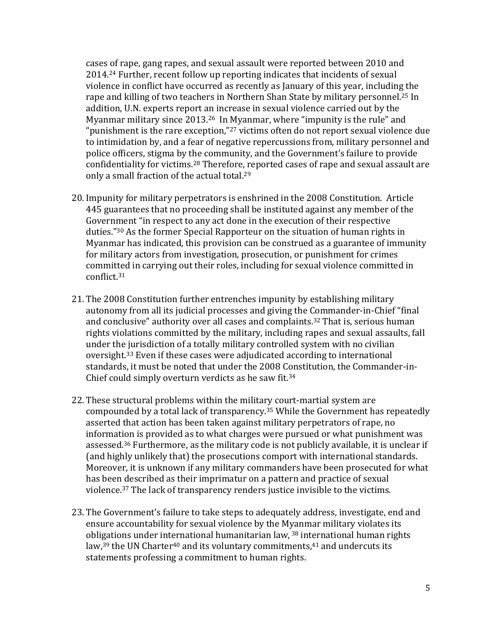cases of rape, gang rapes, and sexual assault were reported between 2010 and 2014.<sup>24</sup> Further, recent follow up reporting indicates that incidents of sexual violence in conflict have occurred as recently as January of this year, including the rape and killing of two teachers in Northern Shan State by military personnel.<sup>25</sup> In addition, U.N. experts report an increase in sexual violence carried out by the Myanmar military since 2013.26 In Myanmar, where "impunity is the rule" and "punishment is the rare exception,"<sup>27</sup> victims often do not report sexual violence due to intimidation by, and a fear of negative repercussions from, military personnel and police officers, stigma by the community, and the Government's failure to provide confidentiality for victims.<sup>28</sup> Therefore, reported cases of rape and sexual assault are only a small fraction of the actual total.<sup>29</sup>

- 20. Impunity for military perpetrators is enshrined in the 2008 Constitution. Article 445 guarantees that no proceeding shall be instituted against any member of the Government "in respect to any act done in the execution of their respective duties."<sup>30</sup> As the former Special Rapporteur on the situation of human rights in Myanmar has indicated, this provision can be construed as a guarantee of immunity for military actors from investigation, prosecution, or punishment for crimes committed in carrying out their roles, including for sexual violence committed in conflict.<sup>31</sup>
- 21. The 2008 Constitution further entrenches impunity by establishing military autonomy from all its judicial processes and giving the Commander-in-Chief "final and conclusive" authority over all cases and complaints.<sup>32</sup> That is, serious human rights violations committed by the military, including rapes and sexual assaults, fall under the jurisdiction of a totally military controlled system with no civilian oversight.<sup>33</sup> Even if these cases were adjudicated according to international standards, it must be noted that under the 2008 Constitution, the Commander-in-Chief could simply overturn verdicts as he saw fit.<sup>34</sup>
- 22. These structural problems within the military court-martial system are compounded by a total lack of transparency.<sup>35</sup> While the Government has repeatedly asserted that action has been taken against military perpetrators of rape, no information is provided as to what charges were pursued or what punishment was assessed.<sup>36</sup> Furthermore, as the military code is not publicly available, it is unclear if (and highly unlikely that) the prosecutions comport with international standards. Moreover, it is unknown if any military commanders have been prosecuted for what has been described as their imprimatur on a pattern and practice of sexual violence.<sup>37</sup> The lack of transparency renders justice invisible to the victims.
- 23. The Government's failure to take steps to adequately address, investigate, end and ensure accountability for sexual violence by the Myanmar military violates its obligations under international humanitarian law, <sup>38</sup> international human rights law,<sup>39</sup> the UN Charter<sup>40</sup> and its voluntary commitments,<sup>41</sup> and undercuts its statements professing a commitment to human rights.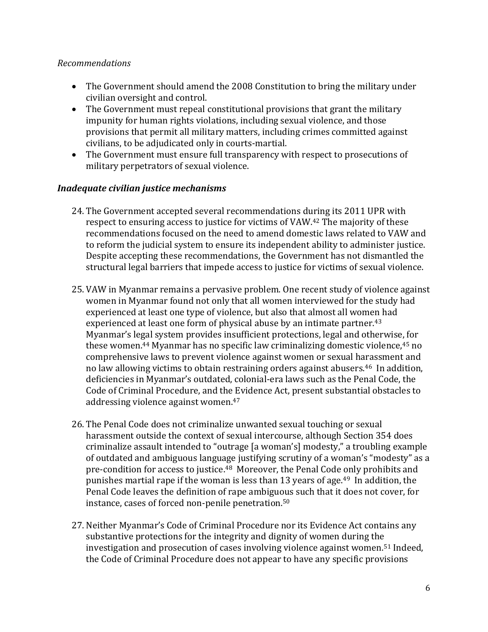#### *Recommendations*

- The Government should amend the 2008 Constitution to bring the military under civilian oversight and control.
- The Government must repeal constitutional provisions that grant the military impunity for human rights violations, including sexual violence, and those provisions that permit all military matters, including crimes committed against civilians, to be adjudicated only in courts-martial.
- The Government must ensure full transparency with respect to prosecutions of military perpetrators of sexual violence.

#### *Inadequate civilian justice mechanisms*

- 24. The Government accepted several recommendations during its 2011 UPR with respect to ensuring access to justice for victims of VAW.<sup>42</sup> The majority of these recommendations focused on the need to amend domestic laws related to VAW and to reform the judicial system to ensure its independent ability to administer justice. Despite accepting these recommendations, the Government has not dismantled the structural legal barriers that impede access to justice for victims of sexual violence.
- 25. VAW in Myanmar remains a pervasive problem. One recent study of violence against women in Myanmar found not only that all women interviewed for the study had experienced at least one type of violence, but also that almost all women had experienced at least one form of physical abuse by an intimate partner.<sup>43</sup> Myanmar's legal system provides insufficient protections, legal and otherwise, for these women.<sup>44</sup> Myanmar has no specific law criminalizing domestic violence,<sup>45</sup> no comprehensive laws to prevent violence against women or sexual harassment and no law allowing victims to obtain restraining orders against abusers.46 In addition, deficiencies in Myanmar's outdated, colonial-era laws such as the Penal Code, the Code of Criminal Procedure, and the Evidence Act, present substantial obstacles to addressing violence against women.<sup>47</sup>
- 26. The Penal Code does not criminalize unwanted sexual touching or sexual harassment outside the context of sexual intercourse, although Section 354 does criminalize assault intended to "outrage [a woman's] modesty," a troubling example of outdated and ambiguous language justifying scrutiny of a woman's "modesty" as a pre-condition for access to justice.<sup>48</sup> Moreover, the Penal Code only prohibits and punishes martial rape if the woman is less than 13 years of age.49 In addition, the Penal Code leaves the definition of rape ambiguous such that it does not cover, for instance, cases of forced non-penile penetration.<sup>50</sup>
- 27. Neither Myanmar's Code of Criminal Procedure nor its Evidence Act contains any substantive protections for the integrity and dignity of women during the investigation and prosecution of cases involving violence against women.<sup>51</sup> Indeed, the Code of Criminal Procedure does not appear to have any specific provisions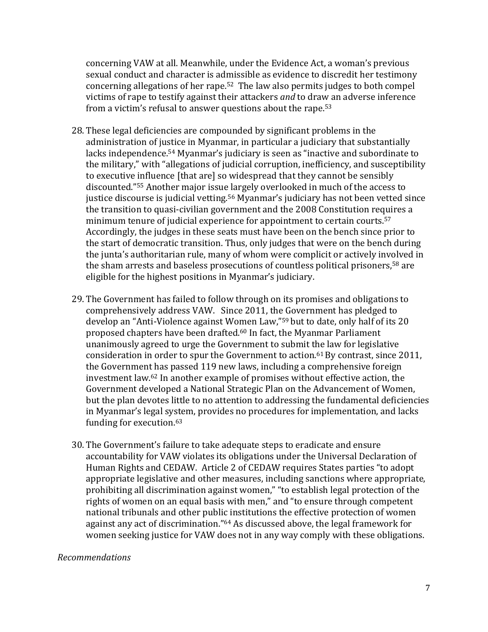concerning VAW at all. Meanwhile, under the Evidence Act, a woman's previous sexual conduct and character is admissible as evidence to discredit her testimony concerning allegations of her rape.52 The law also permits judges to both compel victims of rape to testify against their attackers *and* to draw an adverse inference from a victim's refusal to answer questions about the rape.<sup>53</sup>

- 28. These legal deficiencies are compounded by significant problems in the administration of justice in Myanmar, in particular a judiciary that substantially lacks independence.<sup>54</sup> Myanmar's judiciary is seen as "inactive and subordinate to the military," with "allegations of judicial corruption, inefficiency, and susceptibility to executive influence [that are] so widespread that they cannot be sensibly discounted."<sup>55</sup> Another major issue largely overlooked in much of the access to justice discourse is judicial vetting.<sup>56</sup> Myanmar's judiciary has not been vetted since the transition to quasi-civilian government and the 2008 Constitution requires a minimum tenure of judicial experience for appointment to certain courts.<sup>57</sup> Accordingly, the judges in these seats must have been on the bench since prior to the start of democratic transition. Thus, only judges that were on the bench during the junta's authoritarian rule, many of whom were complicit or actively involved in the sham arrests and baseless prosecutions of countless political prisoners,<sup>58</sup> are eligible for the highest positions in Myanmar's judiciary.
- 29. The Government has failed to follow through on its promises and obligations to comprehensively address VAW. Since 2011, the Government has pledged to develop an "Anti-Violence against Women Law,"<sup>59</sup> but to date, only half of its 20 proposed chapters have been drafted.<sup>60</sup> In fact, the Myanmar Parliament unanimously agreed to urge the Government to submit the law for legislative consideration in order to spur the Government to action.<sup>61</sup> By contrast, since 2011, the Government has passed 119 new laws, including a comprehensive foreign investment law.<sup>62</sup> In another example of promises without effective action, the Government developed a National Strategic Plan on the Advancement of Women, but the plan devotes little to no attention to addressing the fundamental deficiencies in Myanmar's legal system, provides no procedures for implementation, and lacks funding for execution.<sup>63</sup>
- 30. The Government's failure to take adequate steps to eradicate and ensure accountability for VAW violates its obligations under the Universal Declaration of Human Rights and CEDAW. Article 2 of CEDAW requires States parties "to adopt appropriate legislative and other measures, including sanctions where appropriate, prohibiting all discrimination against women," "to establish legal protection of the rights of women on an equal basis with men," and "to ensure through competent national tribunals and other public institutions the effective protection of women against any act of discrimination."<sup>64</sup> As discussed above, the legal framework for women seeking justice for VAW does not in any way comply with these obligations.

#### *Recommendations*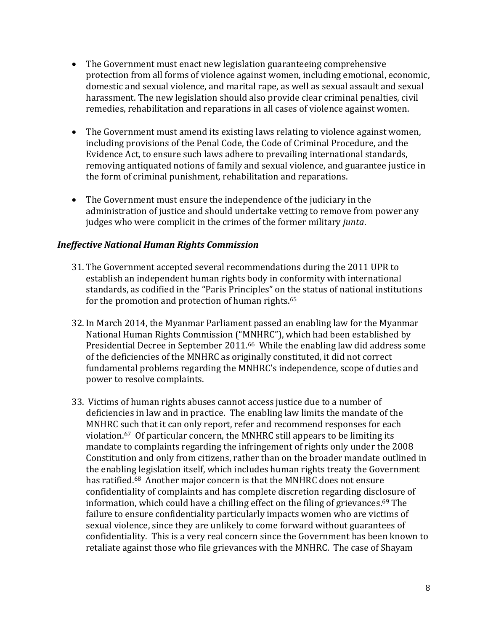- The Government must enact new legislation guaranteeing comprehensive protection from all forms of violence against women, including emotional, economic, domestic and sexual violence, and marital rape, as well as sexual assault and sexual harassment. The new legislation should also provide clear criminal penalties, civil remedies, rehabilitation and reparations in all cases of violence against women.
- The Government must amend its existing laws relating to violence against women, including provisions of the Penal Code, the Code of Criminal Procedure, and the Evidence Act, to ensure such laws adhere to prevailing international standards, removing antiquated notions of family and sexual violence, and guarantee justice in the form of criminal punishment, rehabilitation and reparations.
- The Government must ensure the independence of the judiciary in the administration of justice and should undertake vetting to remove from power any judges who were complicit in the crimes of the former military *junta*.

#### *Ineffective National Human Rights Commission*

- 31. The Government accepted several recommendations during the 2011 UPR to establish an independent human rights body in conformity with international standards, as codified in the "Paris Principles" on the status of national institutions for the promotion and protection of human rights.<sup>65</sup>
- 32. In March 2014, the Myanmar Parliament passed an enabling law for the Myanmar National Human Rights Commission ("MNHRC"), which had been established by Presidential Decree in September 2011.66 While the enabling law did address some of the deficiencies of the MNHRC as originally constituted, it did not correct fundamental problems regarding the MNHRC's independence, scope of duties and power to resolve complaints.
- 33. Victims of human rights abuses cannot access justice due to a number of deficiencies in law and in practice. The enabling law limits the mandate of the MNHRC such that it can only report, refer and recommend responses for each violation. <sup>67</sup> Of particular concern, the MNHRC still appears to be limiting its mandate to complaints regarding the infringement of rights only under the 2008 Constitution and only from citizens, rather than on the broader mandate outlined in the enabling legislation itself, which includes human rights treaty the Government has ratified.<sup>68</sup> Another major concern is that the MNHRC does not ensure confidentiality of complaints and has complete discretion regarding disclosure of information, which could have a chilling effect on the filing of grievances.<sup>69</sup> The failure to ensure confidentiality particularly impacts women who are victims of sexual violence, since they are unlikely to come forward without guarantees of confidentiality. This is a very real concern since the Government has been known to retaliate against those who file grievances with the MNHRC. The case of Shayam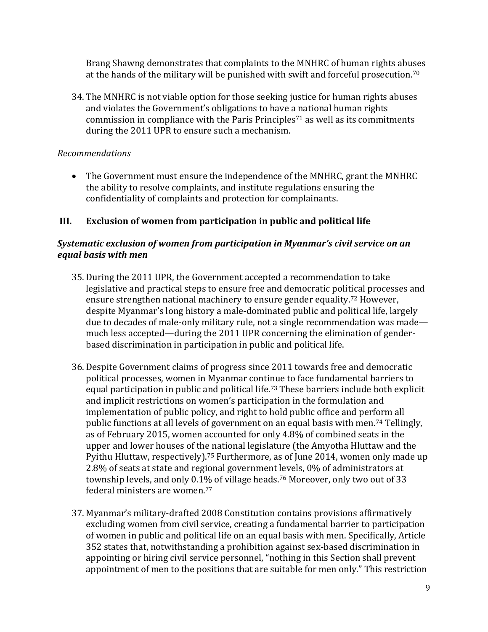Brang Shawng demonstrates that complaints to the MNHRC of human rights abuses at the hands of the military will be punished with swift and forceful prosecution.<sup>70</sup>

34. The MNHRC is not viable option for those seeking justice for human rights abuses and violates the Government's obligations to have a national human rights commission in compliance with the Paris Principles<sup>71</sup> as well as its commitments during the 2011 UPR to ensure such a mechanism.

## *Recommendations*

 The Government must ensure the independence of the MNHRC, grant the MNHRC the ability to resolve complaints, and institute regulations ensuring the confidentiality of complaints and protection for complainants.

## **III. Exclusion of women from participation in public and political life**

## *Systematic exclusion of women from participation in Myanmar's civil service on an equal basis with men*

- 35. During the 2011 UPR, the Government accepted a recommendation to take legislative and practical steps to ensure free and democratic political processes and ensure strengthen national machinery to ensure gender equality.<sup>72</sup> However, despite Myanmar's long history a male-dominated public and political life, largely due to decades of male-only military rule, not a single recommendation was made much less accepted—during the 2011 UPR concerning the elimination of genderbased discrimination in participation in public and political life.
- 36. Despite Government claims of progress since 2011 towards free and democratic political processes, women in Myanmar continue to face fundamental barriers to equal participation in public and political life. <sup>73</sup> These barriers include both explicit and implicit restrictions on women's participation in the formulation and implementation of public policy, and right to hold public office and perform all public functions at all levels of government on an equal basis with men.<sup>74</sup> Tellingly, as of February 2015, women accounted for only 4.8% of combined seats in the upper and lower houses of the national legislature (the Amyotha Hluttaw and the Pyithu Hluttaw, respectively).<sup>75</sup> Furthermore, as of June 2014, women only made up 2.8% of seats at state and regional government levels, 0% of administrators at township levels, and only 0.1% of village heads.<sup>76</sup> Moreover, only two out of 33 federal ministers are women.<sup>77</sup>
- 37. Myanmar's military-drafted 2008 Constitution contains provisions affirmatively excluding women from civil service, creating a fundamental barrier to participation of women in public and political life on an equal basis with men. Specifically, Article 352 states that, notwithstanding a prohibition against sex-based discrimination in appointing or hiring civil service personnel, "nothing in this Section shall prevent appointment of men to the positions that are suitable for men only." This restriction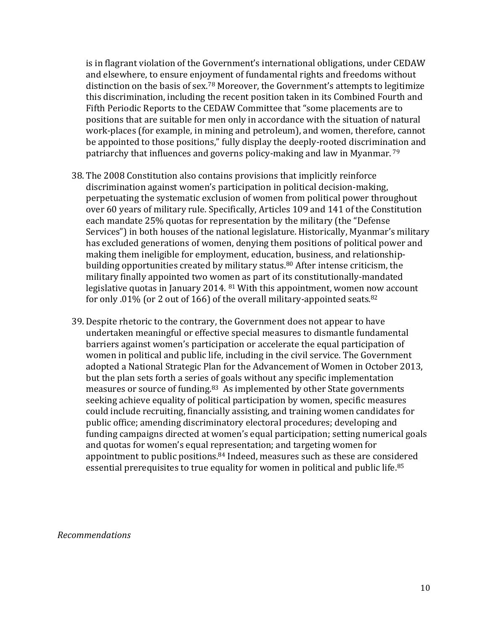is in flagrant violation of the Government's international obligations, under CEDAW and elsewhere, to ensure enjoyment of fundamental rights and freedoms without distinction on the basis of sex.<sup>78</sup> Moreover, the Government's attempts to legitimize this discrimination, including the recent position taken in its Combined Fourth and Fifth Periodic Reports to the CEDAW Committee that "some placements are to positions that are suitable for men only in accordance with the situation of natural work-places (for example, in mining and petroleum), and women, therefore, cannot be appointed to those positions," fully display the deeply-rooted discrimination and patriarchy that influences and governs policy-making and law in Myanmar. <sup>79</sup>

- 38. The 2008 Constitution also contains provisions that implicitly reinforce discrimination against women's participation in political decision-making, perpetuating the systematic exclusion of women from political power throughout over 60 years of military rule. Specifically, Articles 109 and 141 of the Constitution each mandate 25% quotas for representation by the military (the "Defense Services") in both houses of the national legislature. Historically, Myanmar's military has excluded generations of women, denying them positions of political power and making them ineligible for employment, education, business, and relationshipbuilding opportunities created by military status.<sup>80</sup> After intense criticism, the military finally appointed two women as part of its constitutionally-mandated legislative quotas in January 2014.  $81$  With this appointment, women now account for only .01% (or 2 out of 166) of the overall military-appointed seats.<sup>82</sup>
- 39. Despite rhetoric to the contrary, the Government does not appear to have undertaken meaningful or effective special measures to dismantle fundamental barriers against women's participation or accelerate the equal participation of women in political and public life, including in the civil service. The Government adopted a National Strategic Plan for the Advancement of Women in October 2013, but the plan sets forth a series of goals without any specific implementation measures or source of funding.83 As implemented by other State governments seeking achieve equality of political participation by women, specific measures could include recruiting, financially assisting, and training women candidates for public office; amending discriminatory electoral procedures; developing and funding campaigns directed at women's equal participation; setting numerical goals and quotas for women's equal representation; and targeting women for appointment to public positions.<sup>84</sup> Indeed, measures such as these are considered essential prerequisites to true equality for women in political and public life.<sup>85</sup>

*Recommendations*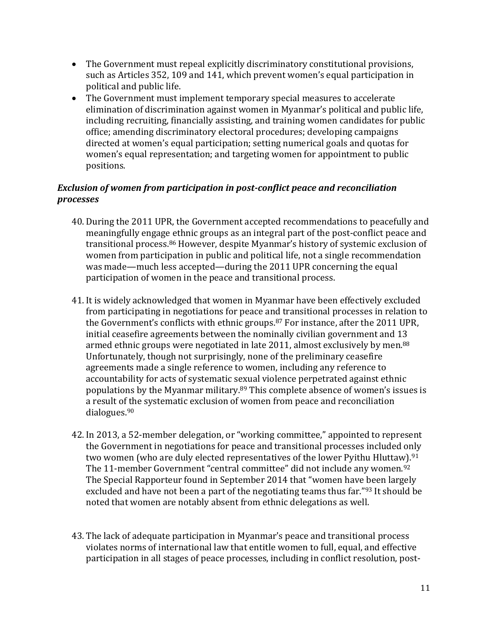- The Government must repeal explicitly discriminatory constitutional provisions, such as Articles 352, 109 and 141, which prevent women's equal participation in political and public life.
- The Government must implement temporary special measures to accelerate elimination of discrimination against women in Myanmar's political and public life, including recruiting, financially assisting, and training women candidates for public office; amending discriminatory electoral procedures; developing campaigns directed at women's equal participation; setting numerical goals and quotas for women's equal representation; and targeting women for appointment to public positions.

## *Exclusion of women from participation in post-conflict peace and reconciliation processes*

- 40. During the 2011 UPR, the Government accepted recommendations to peacefully and meaningfully engage ethnic groups as an integral part of the post-conflict peace and transitional process.<sup>86</sup> However, despite Myanmar's history of systemic exclusion of women from participation in public and political life, not a single recommendation was made—much less accepted—during the 2011 UPR concerning the equal participation of women in the peace and transitional process.
- 41. It is widely acknowledged that women in Myanmar have been effectively excluded from participating in negotiations for peace and transitional processes in relation to the Government's conflicts with ethnic groups.<sup>87</sup> For instance, after the 2011 UPR, initial ceasefire agreements between the nominally civilian government and 13 armed ethnic groups were negotiated in late 2011, almost exclusively by men.<sup>88</sup> Unfortunately, though not surprisingly, none of the preliminary ceasefire agreements made a single reference to women, including any reference to accountability for acts of systematic sexual violence perpetrated against ethnic populations by the Myanmar military. <sup>89</sup> This complete absence of women's issues is a result of the systematic exclusion of women from peace and reconciliation dialogues.<sup>90</sup>
- 42. In 2013, a 52-member delegation, or "working committee," appointed to represent the Government in negotiations for peace and transitional processes included only two women (who are duly elected representatives of the lower Pyithu Hluttaw).<sup>91</sup> The 11-member Government "central committee" did not include any women.<sup>92</sup> The Special Rapporteur found in September 2014 that "women have been largely excluded and have not been a part of the negotiating teams thus far."<sup>93</sup> It should be noted that women are notably absent from ethnic delegations as well.
- 43. The lack of adequate participation in Myanmar's peace and transitional process violates norms of international law that entitle women to full, equal, and effective participation in all stages of peace processes, including in conflict resolution, post-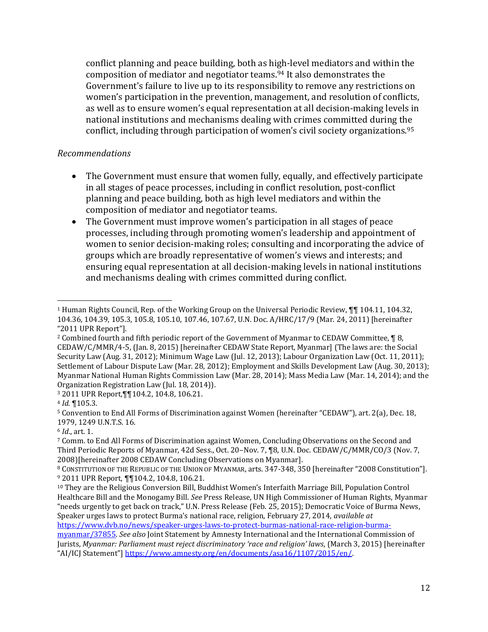conflict planning and peace building, both as high-level mediators and within the composition of mediator and negotiator teams.<sup>94</sup> It also demonstrates the Government's failure to live up to its responsibility to remove any restrictions on women's participation in the prevention, management, and resolution of conflicts, as well as to ensure women's equal representation at all decision-making levels in national institutions and mechanisms dealing with crimes committed during the conflict, including through participation of women's civil society organizations.<sup>95</sup>

#### *Recommendations*

- The Government must ensure that women fully, equally, and effectively participate in all stages of peace processes, including in conflict resolution, post-conflict planning and peace building, both as high level mediators and within the composition of mediator and negotiator teams.
- The Government must improve women's participation in all stages of peace processes, including through promoting women's leadership and appointment of women to senior decision-making roles; consulting and incorporating the advice of groups which are broadly representative of women's views and interests; and ensuring equal representation at all decision-making levels in national institutions and mechanisms dealing with crimes committed during conflict.

l

<sup>1</sup> Human Rights Council, Rep. of the Working Group on the Universal Periodic Review, ¶¶ 104.11, 104.32, 104.36, 104.39, 105.3, 105.8, 105.10, 107.46, 107.67, U.N. Doc. A/HRC/17/9 (Mar. 24, 2011) [hereinafter "2011 UPR Report"].

<sup>&</sup>lt;sup>2</sup> Combined fourth and fifth periodic report of the Government of Myanmar to CEDAW Committee, ¶ 8, CEDAW/C/MMR/4-5, (Jan. 8, 2015) [hereinafter CEDAW State Report, Myanmar] (The laws are: the Social Security Law (Aug. 31, 2012); Minimum Wage Law (Jul. 12, 2013); Labour Organization Law (Oct. 11, 2011); Settlement of Labour Dispute Law (Mar. 28, 2012); Employment and Skills Development Law (Aug. 30, 2013); Myanmar National Human Rights Commission Law (Mar. 28, 2014); Mass Media Law (Mar. 14, 2014); and the Organization Registration Law (Jul. 18, 2014)).

<sup>3</sup> 2011 UPR Report,¶¶104.2, 104.8, 106.21.

<sup>4</sup> *Id.* ¶105.3.

<sup>5</sup> Convention to End All Forms of Discrimination against Women (hereinafter "CEDAW"), art. 2(a), Dec. 18, 1979, 1249 U.N.T.S. 16.

<sup>6</sup> *Id*., art. 1.

<sup>7</sup> Comm. to End All Forms of Discrimination against Women, Concluding Observations on the Second and Third Periodic Reports of Myanmar, 42d Sess., Oct. 20–Nov. 7, ¶8, U.N. Doc. CEDAW/C/MMR/CO/3 (Nov. 7, 2008)[hereinafter 2008 CEDAW Concluding Observations on Myanmar].

<sup>8</sup> CONSTITUTION OF THE REPUBLIC OF THE UNION OF MYANMAR, arts. 347-348, 350 [hereinafter "2008 Constitution"]. <sup>9</sup> 2011 UPR Report, ¶¶104.2, 104.8, 106.21.

<sup>10</sup> They are the Religious Conversion Bill, Buddhist Women's Interfaith Marriage Bill, Population Control Healthcare Bill and the Monogamy Bill. *See* Press Release, UN High Commissioner of Human Rights, Myanmar "needs urgently to get back on track," U.N. Press Release (Feb. 25, 2015); Democratic Voice of Burma News, Speaker urges laws to protect Burma's national race, religion, February 27, 2014, *available at* 

[https://www.dvb.no/news/speaker-urges-laws-to-protect-burmas-national-race-religion-burma-](https://www.dvb.no/news/speaker-urges-laws-to-protect-burmas-national-race-religion-burma-myanmar/37855)

[myanmar/37855.](https://www.dvb.no/news/speaker-urges-laws-to-protect-burmas-national-race-religion-burma-myanmar/37855) *See also* Joint Statement by Amnesty International and the International Commission of Jurists, *Myanmar: Parliament must reject discriminatory 'race and religion' laws*, (March 3, 2015) [hereinafter "AI/ICJ Statement"] [https://www.amnesty.org/en/documents/asa16/1107/2015/en/.](https://www.amnesty.org/en/documents/asa16/1107/2015/en/)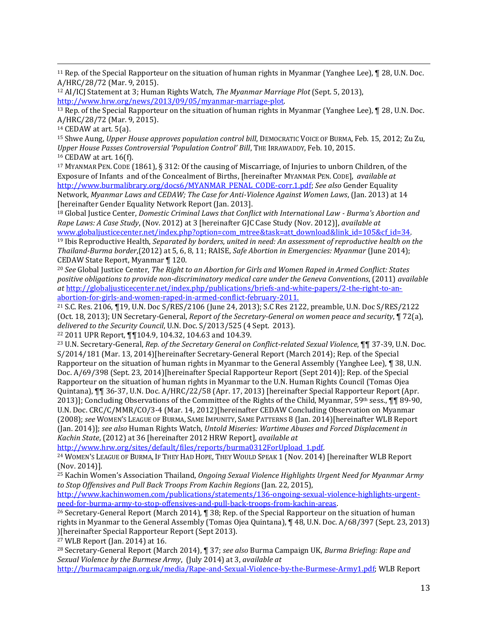<sup>11</sup> Rep. of the Special Rapporteur on the situation of human rights in Myanmar (Yanghee Lee), ¶ 28, U.N. Doc. A/HRC/28/72 (Mar. 9, 2015).

<sup>12</sup> AI/ICJ Statement at 3; Human Rights Watch, *The Myanmar Marriage Plot* (Sept. 5, 2013), [http://www.hrw.org/news/2013/09/05/myanmar-marriage-plot.](http://www.hrw.org/news/2013/09/05/myanmar-marriage-plot) 

<sup>13</sup> Rep. of the Special Rapporteur on the situation of human rights in Myanmar (Yanghee Lee), ¶ 28, U.N. Doc. A/HRC/28/72 (Mar. 9, 2015).

<sup>14</sup> CEDAW at art. 5(a).

 $\overline{\phantom{a}}$ 

<sup>15</sup> Shwe Aung, *Upper House approves population control bill*, DEMOCRATIC VOICE OF BURMA, Feb. 15, 2012; Zu Zu, *Upper House Passes Controversial 'Population Control' Bill*, THE IRRAWADDY, Feb. 10, 2015. <sup>16</sup> CEDAW at art. 16(f).

<sup>17</sup> MYANMAR PEN. CODE (1861), § 312: Of the causing of Miscarriage, of Injuries to unborn Children, of the Exposure of Infants and of the Concealment of Births, [hereinafter MYANMAR PEN. CODE], *available at* [http://www.burmalibrary.org/docs6/MYANMAR\\_PENAL\\_CODE-corr.1.pdf;](http://www.burmalibrary.org/docs6/MYANMAR_PENAL_CODE-corr.1.pdf) *See also* Gender Equality Network, *Myanmar Laws and CEDAW; The Case for Anti-Violence Against Women Laws*, (Jan. 2013) at 14 [hereinafter Gender Equality Network Report (Jan. 2013].

<sup>18</sup> Global Justice Center, *Domestic Criminal Laws that Conflict with International Law - Burma's Abortion and Rape Laws: A Case Study*, (Nov. 2012) at 3 [hereinafter GJC Case Study (Nov. 2012)], *available at* 

[www.globaljusticecenter.net/index.php?option=com\\_mtree&task=att\\_download&link\\_id=105&cf\\_id=34.](http://www.globaljusticecenter.net/index.php?option=com_mtree&task=att_download&link_id=105&cf_id=34) <sup>19</sup> Ibis Reproductive Health, *Separated by borders, united in need: An assessment of reproductive health on the Thailand-Burma border*,(2012) at 5, 6, 8, 11; RAISE, *Safe Abortion in Emergencies: Myanmar* (June 2014); CEDAW State Report, Myanmar ¶ 120.

<sup>20</sup> *See* Global Justice Center, *The Right to an Abortion for Girls and Women Raped in Armed Conflict: States positive obligations to provide non-discriminatory medical care under the Geneva Conventions*, (2011) *available at* [http://globaljusticecenter.net/index.php/publications/briefs-and-white-papers/2-the-right-to-an](http://globaljusticecenter.net/index.php/publications/briefs-and-white-papers/2-the-right-to-an-abortion-for-girls-and-women-raped-in-armed-conflict-february-2011)[abortion-for-girls-and-women-raped-in-armed-conflict-february-2011.](http://globaljusticecenter.net/index.php/publications/briefs-and-white-papers/2-the-right-to-an-abortion-for-girls-and-women-raped-in-armed-conflict-february-2011)

<sup>21</sup> S.C. Res. 2106, ¶19, U.N. Doc S/RES/2106 (June 24, 2013); S.C Res 2122, preamble, U.N. Doc S/RES/2122 (Oct. 18, 2013); UN Secretary-General, *Report of the Secretary-General on women peace and security*, ¶ 72(a), *delivered to the Security Council*, U.N. Doc. S/2013/525 (4 Sept. 2013).

<sup>22</sup> 2011 UPR Report, ¶¶104.9, 104.32, 104.63 and 104.39.

<sup>23</sup> U.N. Secretary-General, *Rep. of the Secretary General on Conflict-related Sexual Violence*, ¶¶ 37-39, U.N. Doc. S/2014/181 (Mar. 13, 2014)[hereinafter Secretary-General Report (March 2014); Rep. of the Special Rapporteur on the situation of human rights in Myanmar to the General Assembly (Yanghee Lee), ¶ 38, U.N. Doc. A/69/398 (Sept. 23, 2014)[hereinafter Special Rapporteur Report (Sept 2014)]; Rep. of the Special Rapporteur on the situation of human rights in Myanmar to the U.N. Human Rights Council (Tomas Ojea Quintana), ¶¶ 36-37, U.N. Doc. A/HRC/22/58 (Apr. 17, 2013) [hereinafter Special Rapporteur Report (Apr. 2013)]; Concluding Observations of the Committee of the Rights of the Child, Myanmar, 59<sup>th</sup> sess.,  $\P\P$  89-90, U.N. Doc. CRC/C/MMR/CO/3-4 (Mar. 14, 2012)[hereinafter CEDAW Concluding Observation on Myanmar (2008); *see* WOMEN'S LEAGUE OF BURMA, SAME IMPUNITY, SAME PATTERNS 8 (Jan. 2014)[hereinafter WLB Report (Jan. 2014)]; *see also* Human Rights Watch, *Untold Miseries: Wartime Abuses and Forced Displacement in Kachin State*, (2012) at 36 [hereinafter 2012 HRW Report], *available at*

[http://www.hrw.org/sites/default/files/reports/burma0312ForUpload\\_1.pdf.](http://www.hrw.org/sites/default/files/reports/burma0312ForUpload_1.pdf)

<sup>24</sup> WOMEN'S LEAGUE OF BURMA, IF THEY HAD HOPE, THEY WOULD SPEAK 1 (Nov. 2014) [hereinafter WLB Report (Nov. 2014)].

<sup>25</sup> Kachin Women's Association Thailand, *Ongoing Sexual Violence Highlights Urgent Need for Myanmar Army to Stop Offensives and Pull Back Troops From Kachin Regions* (Jan. 22, 2015),

[http://www.kachinwomen.com/publications/statements/136-ongoing-sexual-violence-highlights-urgent](http://www.kachinwomen.com/publications/statements/136-ongoing-sexual-violence-highlights-urgent-need-for-burma-army-to-stop-offensives-and-pull-back-troops-from-kachin-areas)[need-for-burma-army-to-stop-offensives-and-pull-back-troops-from-kachin-areas.](http://www.kachinwomen.com/publications/statements/136-ongoing-sexual-violence-highlights-urgent-need-for-burma-army-to-stop-offensives-and-pull-back-troops-from-kachin-areas)

<sup>26</sup> Secretary-General Report (March 2014)*,* ¶ 38; Rep. of the Special Rapporteur on the situation of human rights in Myanmar to the General Assembly (Tomas Ojea Quintana), ¶ 48, U.N. Doc. A/68/397 (Sept. 23, 2013) )[hereinafter Special Rapporteur Report (Sept 2013).

<sup>27</sup> WLB Report (Jan. 2014) at 16.

<sup>28</sup> Secretary-General Report (March 2014), ¶ 37; *see also* Burma Campaign UK, *Burma Briefing: Rape and Sexual Violence by the Burmese Army*, (July 2014) at 3, *available at*

[http://burmacampaign.org.uk/media/Rape-and-Sexual-Violence-by-the-Burmese-Army1.pdf;](http://burmacampaign.org.uk/media/Rape-and-Sexual-Violence-by-the-Burmese-Army1.pdf) WLB Report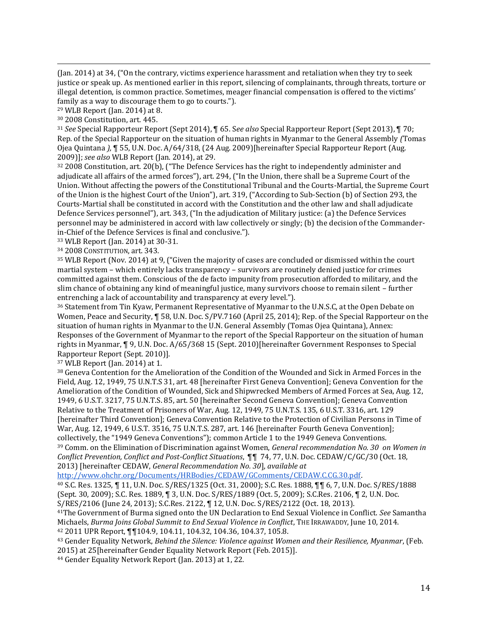(Jan. 2014) at 34, ("On the contrary, victims experience harassment and retaliation when they try to seek justice or speak up. As mentioned earlier in this report, silencing of complainants, through threats, torture or illegal detention, is common practice. Sometimes, meager financial compensation is offered to the victims' family as a way to discourage them to go to courts.").

<sup>29</sup> WLB Report (Jan. 2014) at 8.

 $\overline{\phantom{a}}$ 

<sup>30</sup> 2008 Constitution, art. 445.

<sup>31</sup> *See* Special Rapporteur Report (Sept 2014), ¶ 65. S*ee also* Special Rapporteur Report (Sept 2013), ¶ 70; Rep. of the Special Rapporteur on the situation of human rights in Myanmar to the General Assembly *(*Tomas Ojea Quintana *),* ¶ 55, U.N. Doc. A/64/318, (24 Aug. 2009)[hereinafter Special Rapporteur Report (Aug. 2009)]; *see also* WLB Report (Jan. 2014), at 29.

<sup>32</sup> 2008 Constitution, art. 20(b), ("The Defence Services has the right to independently administer and adjudicate all affairs of the armed forces"), art. 294, ("In the Union, there shall be a Supreme Court of the Union. Without affecting the powers of the Constitutional Tribunal and the Courts-Martial, the Supreme Court of the Union is the highest Court of the Union"), art. 319, ("According to Sub-Section (b) of Section 293, the Courts-Martial shall be constituted in accord with the Constitution and the other law and shall adjudicate Defence Services personnel"), art. 343, ("In the adjudication of Military justice: (a) the Defence Services personnel may be administered in accord with law collectively or singly; (b) the decision of the Commanderin-Chief of the Defence Services is final and conclusive.").

<sup>33</sup> WLB Report (Jan. 2014) at 30-31.

<sup>34</sup> 2008 CONSTITUTION, art. 343.

<sup>35</sup> WLB Report (Nov. 2014) at 9, ("Given the majority of cases are concluded or dismissed within the court martial system – which entirely lacks transparency – survivors are routinely denied justice for crimes committed against them. Conscious of the de facto impunity from prosecution afforded to military, and the slim chance of obtaining any kind of meaningful justice, many survivors choose to remain silent – further entrenching a lack of accountability and transparency at every level.").

<sup>36</sup> Statement from Tin Kyaw, Permanent Representative of Myanmar to the U.N.S.C, at the Open Debate on Women, Peace and Security, ¶ 58, U.N. Doc. S/PV.7160 (April 25, 2014); Rep. of the Special Rapporteur on the situation of human rights in Myanmar to the U.N. General Assembly (Tomas Ojea Quintana), Annex: Responses of the Government of Myanmar to the report of the Special Rapporteur on the situation of human rights in Myanmar, ¶ 9, U.N. Doc. A/65/368 15 (Sept. 2010)[hereinafter Government Responses to Special Rapporteur Report (Sept. 2010)].

<sup>37</sup> WLB Report (Jan. 2014) at 1.

<sup>38</sup> Geneva Contention for the Amelioration of the Condition of the Wounded and Sick in Armed Forces in the Field, Aug. 12, 1949, 75 U.N.T.S 31, art. 48 [hereinafter First Geneva Convention]; Geneva Convention for the Amelioration of the Condition of Wounded, Sick and Shipwrecked Members of Armed Forces at Sea, Aug. 12, 1949, 6 U.S.T. 3217, 75 U.N.T.S. 85, art. 50 [hereinafter Second Geneva Convention]; Geneva Convention Relative to the Treatment of Prisoners of War, Aug. 12, 1949, 75 U.N.T.S. 135, 6 U.S.T. 3316, art. 129 [hereinafter Third Convention]; Geneva Convention Relative to the Protection of Civilian Persons in Time of War, Aug. 12, 1949, 6 U.S.T. 3516, 75 U.N.T.S. 287, art. 146 [hereinafter Fourth Geneva Convention]; collectively, the "1949 Geneva Conventions"); common Article 1 to the 1949 Geneva Conventions. <sup>39</sup> Comm. on the Elimination of Discrimination against Women, *General recommendation No. 30 on Women in Conflict Prevention, Conflict and Post-Conflict Situations*, ¶¶ 74, 77, U.N. Doc. CEDAW/C/GC/30 (Oct. 18, 2013) [hereinafter CEDAW, *General Recommendation No. 30*], *available at*

[http://www.ohchr.org/Documents/HRBodies/CEDAW/GComments/CEDAW.C.CG.30.pdf.](http://www.ohchr.org/Documents/HRBodies/CEDAW/GComments/CEDAW.C.CG.30.pdf)

<sup>40</sup> S.C. Res. 1325, ¶ 11, U.N. Doc. S/RES/1325 (Oct. 31, 2000); S.C. Res. 1888, ¶¶ 6, 7, U.N. Doc. S/RES/1888 (Sept. 30, 2009); S.C. Res. 1889, ¶ 3, U.N. Doc. S/RES/1889 (Oct. 5, 2009); S.C.Res. 2106, ¶ 2, U.N. Doc. S/RES/2106 (June 24, 2013); S.C.Res. 2122, ¶ 12, U.N. Doc. S/RES/2122 (Oct. 18, 2013).

<sup>41</sup>The Government of Burma signed onto the UN Declaration to End Sexual Violence in Conflict. *See* Samantha Michaels, *Burma Joins Global Summit to End Sexual Violence in Conflict*, THE IRRAWADDY, June 10, 2014. <sup>42</sup> 2011 UPR Report, ¶¶104.9, 104.11, 104.32, 104.36, 104.37, 105.8.

<sup>43</sup> Gender Equality Network, *Behind the Silence: Violence against Women and their Resilience, Myanmar*, (Feb. 2015) at 25[hereinafter Gender Equality Network Report (Feb. 2015)].

<sup>44</sup> Gender Equality Network Report (Jan. 2013) at 1, 22.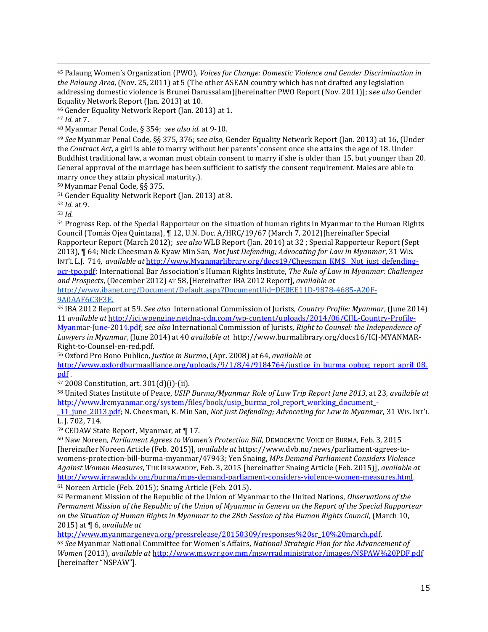<sup>45</sup> Palaung Women's Organization (PWO), *Voices for Change: Domestic Violence and Gender Discrimination in the Palaung Area*,(Nov. 25, 2011) at 5 (The other ASEAN country which has not drafted any legislation addressing domestic violence is Brunei Darussalam)[hereinafter PWO Report (Nov. 2011)]; s*ee also* Gender Equality Network Report (Jan. 2013) at 10.

<sup>46</sup> Gender Equality Network Report (Jan. 2013) at 1.

 $\overline{\phantom{a}}$ 

<sup>48</sup> Myanmar Penal Code, § 354; *see also id.* at 9-10.

<sup>49</sup> *See* Myanmar Penal Code, §§ 375, 376; s*ee also*, Gender Equality Network Report (Jan. 2013) at 16, (Under the *Contract Act*, a girl is able to marry without her parents' consent once she attains the age of 18. Under Buddhist traditional law, a woman must obtain consent to marry if she is older than 15, but younger than 20. General approval of the marriage has been sufficient to satisfy the consent requirement. Males are able to marry once they attain physical maturity.).

<sup>50</sup> Myanmar Penal Code, §§ 375.

<sup>51</sup> Gender Equality Network Report (Jan. 2013) at 8.

<sup>52</sup> *Id.* at 9.

<sup>53</sup> *Id.*

<sup>54</sup> Progress Rep. of the Special Rapporteur on the situation of human rights in Myanmar to the Human Rights Council (Tomás Ojea Quintana), ¶ 12, U.N. Doc. A/HRC/19/67 (March 7, 2012)[hereinafter Special Rapporteur Report (March 2012); *see also* WLB Report (Jan. 2014) at 32 ; Special Rapporteur Report (Sept

2013), ¶ 64; Nick Cheesman & Kyaw Min San, *Not Just Defending; Advocating for Law in Myanmar*, 31 WIS. INT'L L.J. 714, *available at* [http://www.Myanmarlibrary.org/docs19/Cheesman\\_KMS\\_\\_Not\\_just\\_defending](http://www.burmalibrary.org/docs19/Cheesman_KMS__Not_just_defending-ocr-tpo.pdf)[ocr-tpo.pdf](http://www.burmalibrary.org/docs19/Cheesman_KMS__Not_just_defending-ocr-tpo.pdf); International Bar Association's Human Rights Institute, *The Rule of Law in Myanmar: Challenges* 

*and Prospects*, (December 2012) AT 58, [Hereinafter IBA 2012 Report], *available at* [http://www.ibanet.org/Document/Default.aspx?DocumentUid=DE0EE11D-9878-4685-A20F-](http://www.ibanet.org/Document/Default.aspx?DocumentUid=DE0EE11D-9878-4685-A20F-9A0AAF6C3F3E)[9A0AAF6C3F3E.](http://www.ibanet.org/Document/Default.aspx?DocumentUid=DE0EE11D-9878-4685-A20F-9A0AAF6C3F3E)

<sup>55</sup> IBA 2012 Report at 59. *See also* International Commission of Jurists, *Country Profile: Myanmar*, (June 2014) 11 *available at* [http://icj.wpengine.netdna-cdn.com/wp-content/uploads/2014/06/CIJL-Country-Profile-](http://icj.wpengine.netdna-cdn.com/wp-content/uploads/2014/06/CIJL-Country-Profile-Myanmar-June-2014.pdf)[Myanmar-June-2014.pdf;](http://icj.wpengine.netdna-cdn.com/wp-content/uploads/2014/06/CIJL-Country-Profile-Myanmar-June-2014.pdf) s*ee also* International Commission of Jurists*, Right to Counsel: the Independence of* 

*Lawyers in Myanmar*,(June 2014) at 40 *available at* http://www.burmalibrary.org/docs16/ICJ-MYANMAR-Right-to-Counsel-en-red.pdf.

<sup>56</sup> Oxford Pro Bono Publico, *Justice in Burma*, (Apr. 2008) at 64, *available at*

http://www.oxfordburmaalliance.org/uploads/9/1/8/4/9184764/justice in burma opbpg report april 08. [pdf](http://www.oxfordburmaalliance.org/uploads/9/1/8/4/9184764/justice_in_burma_opbpg_report_april_08.pdf) .

<sup>57</sup> 2008 Constitution, art. 301(d)(i)-(ii).

<sup>58</sup> United States Institute of Peace, *USIP Burma/Myanmar Role of Law Trip Report June 2013*, at 23, *available at* [http://www.lrcmyanmar.org/system/files/book/usip\\_burma\\_rol\\_report\\_working\\_document\\_-](http://www.lrcmyanmar.org/system/files/book/usip_burma_rol_report_working_document_-_11_june_2013.pdf)

[\\_11\\_june\\_2013.pdf;](http://www.lrcmyanmar.org/system/files/book/usip_burma_rol_report_working_document_-_11_june_2013.pdf) N. Cheesman, K. Min San, *Not Just Defending; Advocating for Law in Myanmar*, 31 WIS. INT'L L. J. 702, 714.

<sup>59</sup> CEDAW State Report, Myanmar, at ¶ 17.

<sup>60</sup> Naw Noreen, *Parliament Agrees to Women's Protection Bill*, DEMOCRATIC VOICE OF BURMA, Feb. 3, 2015 [hereinafter Noreen Article (Feb. 2015)], *available at* [https://www.dvb.no/news/parliament-agrees-to](https://www.dvb.no/news/parliament-agrees-to-womens-protection-bill-burma-myanmar/47943)[womens-protection-bill-burma-myanmar/47943;](https://www.dvb.no/news/parliament-agrees-to-womens-protection-bill-burma-myanmar/47943) Yen Snaing, *MPs Demand Parliament Considers Violence Against Women Measures*, THE IRRAWADDY, Feb. 3, 2015 [hereinafter Snaing Article (Feb. 2015)], *available at* [http://www.irrawaddy.org/burma/mps-demand-parliament-considers-violence-women-measures.html.](http://www.irrawaddy.org/burma/mps-demand-parliament-considers-violence-women-measures.html)  <sup>61</sup> Noreen Article (Feb. 2015); Snaing Article (Feb. 2015).

<sup>62</sup> Permanent Mission of the Republic of the Union of Myanmar to the United Nations, *Observations of the Permanent Mission of the Republic of the Union of Myanmar in Geneva on the Report of the Special Rapporteur on the Situation of Human Rights in Myanmar to the 28th Session of the Human Rights Council*, (March 10, 2015) at ¶ 6, *available at*

[http://www.myanmargeneva.org/pressrelease/20150309/responses%20sr\\_10%20march.pdf.](http://www.myanmargeneva.org/pressrelease/20150309/responses%20sr_10%20march.pdf)

<sup>63</sup> *See* Myanmar National Committee for Women's Affairs, *National Strategic Plan for the Advancement of Women* (2013), *available at* <http://www.mswrr.gov.mm/mswrradministrator/images/NSPAW%20PDF.pdf> [hereinafter "NSPAW"].

<sup>47</sup> *Id.* at 7.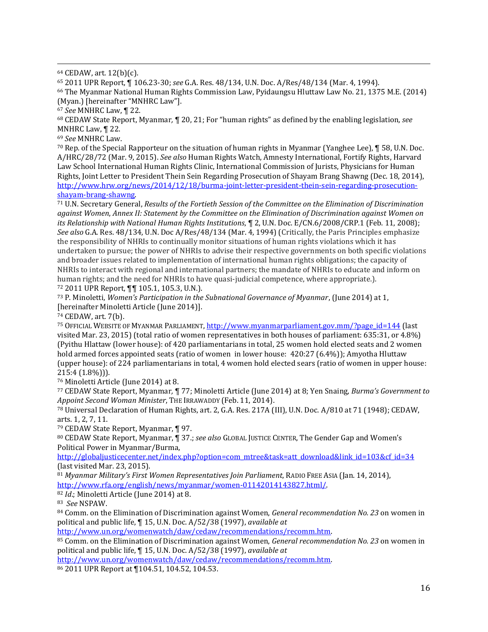<sup>64</sup> CEDAW, art. 12(b)(c).

 $\overline{\phantom{a}}$ 

<sup>65</sup> 2011 UPR Report, ¶ 106.23-30; *see* G.A. Res. 48/134, U.N. Doc. A/Res/48/134 (Mar. 4, 1994).

<sup>66</sup> The Myanmar National Human Rights Commission Law, Pyidaungsu Hluttaw Law No. 21, 1375 M.E. (2014) (Myan.) [hereinafter "MNHRC Law"].

<sup>67</sup> *See* MNHRC Law, ¶ 22.

<sup>68</sup> CEDAW State Report, Myanmar*,* ¶ 20, 21; For "human rights" as defined by the enabling legislation, *see* MNHRC Law, ¶ 22.

<sup>69</sup> *See* MNHRC Law.

<sup>70</sup> Rep. of the Special Rapporteur on the situation of human rights in Myanmar (Yanghee Lee), ¶ 58, U.N. Doc. A/HRC/28/72 (Mar. 9, 2015). *See also* Human Rights Watch, Amnesty International, Fortify Rights, Harvard Law School International Human Rights Clinic, International Commission of Jurists, Physicians for Human Rights, Joint Letter to President Thein Sein Regarding Prosecution of Shayam Brang Shawng (Dec. 18, 2014), [http://www.hrw.org/news/2014/12/18/burma-joint-letter-president-thein-sein-regarding-prosecution](http://www.hrw.org/news/2014/12/18/burma-joint-letter-president-thein-sein-regarding-prosecution-shayam-brang-shawng)[shayam-brang-shawng.](http://www.hrw.org/news/2014/12/18/burma-joint-letter-president-thein-sein-regarding-prosecution-shayam-brang-shawng)

<sup>71</sup> U.N. Secretary General, *Results of the Fortieth Session of the Committee on the Elimination of Discrimination against Women*, *Annex II: Statement by the Committee on the Elimination of Discrimination against Women on its Relationship with National Human Rights Institutions*, ¶ 2, U.N. Doc. E/CN.6/2008/CRP.1 (Feb. 11, 2008); *See also* G.A. Res. 48/134, U.N. Doc A/Res/48/134 (Mar. 4, 1994) (Critically, the Paris Principles emphasize the responsibility of NHRIs to continually monitor situations of human rights violations which it has undertaken to pursue; the power of NHRIs to advise their respective governments on both specific violations and broader issues related to implementation of international human rights obligations; the capacity of NHRIs to interact with regional and international partners; the mandate of NHRIs to educate and inform on human rights; and the need for NHRIs to have quasi-judicial competence, where appropriate.). <sup>72</sup> 2011 UPR Report, ¶¶ 105.1, 105.3, U.N.).

<sup>73</sup> P. Minoletti, *Women's Participation in the Subnational Governance of Myanmar*, (June 2014) at 1, [hereinafter Minoletti Article (June 2014)].

<sup>74</sup> CEDAW, art. 7(b).

<sup>75</sup> OFFICIAL WEBSITE OF MYANMAR PARLIAMENT[, http://www.myanmarparliament.gov.mm/?page\\_id=144](http://www.myanmarparliament.gov.mm/?page_id=144) (last visited Mar. 23, 2015) (total ratio of women representatives in both houses of parliament: 635:31, or 4.8%) (Pyithu Hlattaw (lower house): of 420 parliamentarians in total, 25 women hold elected seats and 2 women hold armed forces appointed seats (ratio of women in lower house: 420:27 (6.4%)); Amyotha Hluttaw (upper house): of 224 parliamentarians in total, 4 women hold elected sears (ratio of women in upper house: 215:4 (1.8%))).

<sup>76</sup> Minoletti Article (June 2014) at 8.

<sup>77</sup> CEDAW State Report, Myanmar*,* ¶ 77; Minoletti Article (June 2014) at 8; Yen Snaing, *Burma's Government to Appoint Second Woman Minister*, THE IRRAWADDY (Feb. 11, 2014).

<sup>78</sup> Universal Declaration of Human Rights, art. 2, G.A. Res. 217A (III), U.N. Doc. A/810 at 71 (1948); CEDAW, arts. 1, 2, 7, 11.

<sup>79</sup> CEDAW State Report, Myanmar, ¶ 97.

<sup>80</sup> CEDAW State Report, Myanmar, ¶ 37.; *see also* GLOBAL JUSTICE CENTER, The Gender Gap and Women's Political Power in Myanmar/Burma,

[http://globaljusticecenter.net/index.php?option=com\\_mtree&task=att\\_download&link\\_id=103&cf\\_id=34](http://globaljusticecenter.net/index.php?option=com_mtree&task=att_download&link_id=103&cf_id=34) (last visited Mar. 23, 2015).

<sup>81</sup> *Myanmar Military's First Women Representatives Join Parliament*, RADIO FREE ASIA (Jan. 14, 2014), [http://www.rfa.org/english/news/myanmar/women-01142014143827.html/.](http://www.rfa.org/english/news/myanmar/women-01142014143827.html/) 

<sup>82</sup> *Id*.; Minoletti Article (June 2014) at 8.

<sup>83</sup> *See* NSPAW.

<sup>84</sup> Comm. on the Elimination of Discrimination against Women, *General recommendation No. 23* on women in political and public life, ¶ 15, U.N. Doc. A/52/38 (1997), *available at*

[http://www.un.org/womenwatch/daw/cedaw/recommendations/recomm.htm.](http://www.un.org/womenwatch/daw/cedaw/recommendations/recomm.htm) 

<sup>85</sup> Comm. on the Elimination of Discrimination against Women, *General recommendation No. 23* on women in political and public life, ¶ 15, U.N. Doc. A/52/38 (1997), *available at*

[http://www.un.org/womenwatch/daw/cedaw/recommendations/recomm.htm.](http://www.un.org/womenwatch/daw/cedaw/recommendations/recomm.htm) 

<sup>86</sup> 2011 UPR Report at ¶104.51, 104.52, 104.53.